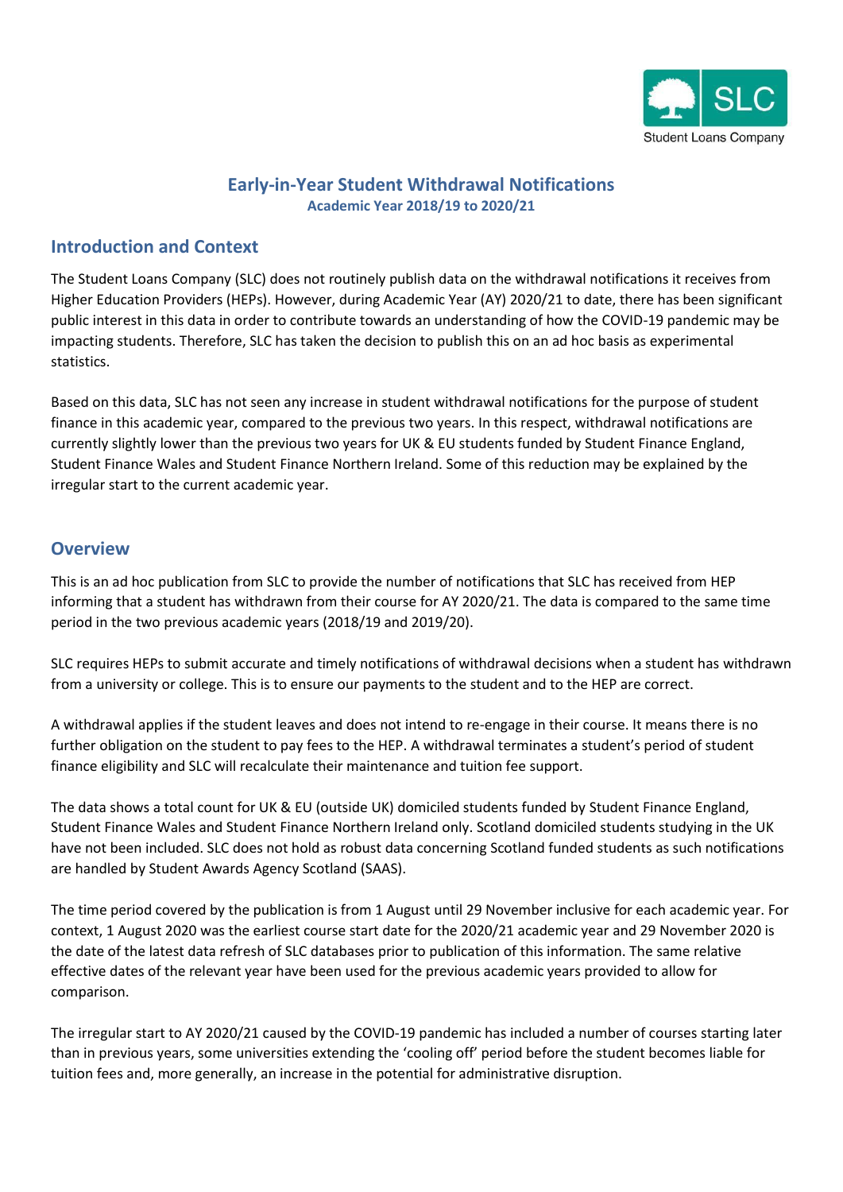

## **Early-in-Year Student Withdrawal Notifications Academic Year 2018/19 to 2020/21**

## **Introduction and Context**

The Student Loans Company (SLC) does not routinely publish data on the withdrawal notifications it receives from Higher Education Providers (HEPs). However, during Academic Year (AY) 2020/21 to date, there has been significant public interest in this data in order to contribute towards an understanding of how the COVID-19 pandemic may be impacting students. Therefore, SLC has taken the decision to publish this on an ad hoc basis as experimental statistics.

Based on this data, SLC has not seen any increase in student withdrawal notifications for the purpose of student finance in this academic year, compared to the previous two years. In this respect, withdrawal notifications are currently slightly lower than the previous two years for UK & EU students funded by Student Finance England, Student Finance Wales and Student Finance Northern Ireland. Some of this reduction may be explained by the irregular start to the current academic year.

### **Overview**

This is an ad hoc publication from SLC to provide the number of notifications that SLC has received from HEP informing that a student has withdrawn from their course for AY 2020/21. The data is compared to the same time period in the two previous academic years (2018/19 and 2019/20).

SLC requires HEPs to submit accurate and timely notifications of withdrawal decisions when a student has withdrawn from a university or college. This is to ensure our payments to the student and to the HEP are correct.

A withdrawal applies if the student leaves and does not intend to re-engage in their course. It means there is no further obligation on the student to pay fees to the HEP. A withdrawal terminates a student's period of student finance eligibility and SLC will recalculate their maintenance and tuition fee support.

The data shows a total count for UK & EU (outside UK) domiciled students funded by Student Finance England, Student Finance Wales and Student Finance Northern Ireland only. Scotland domiciled students studying in the UK have not been included. SLC does not hold as robust data concerning Scotland funded students as such notifications are handled by Student Awards Agency Scotland (SAAS).

The time period covered by the publication is from 1 August until 29 November inclusive for each academic year. For context, 1 August 2020 was the earliest course start date for the 2020/21 academic year and 29 November 2020 is the date of the latest data refresh of SLC databases prior to publication of this information. The same relative effective dates of the relevant year have been used for the previous academic years provided to allow for comparison.

The irregular start to AY 2020/21 caused by the COVID-19 pandemic has included a number of courses starting later than in previous years, some universities extending the 'cooling off' period before the student becomes liable for tuition fees and, more generally, an increase in the potential for administrative disruption.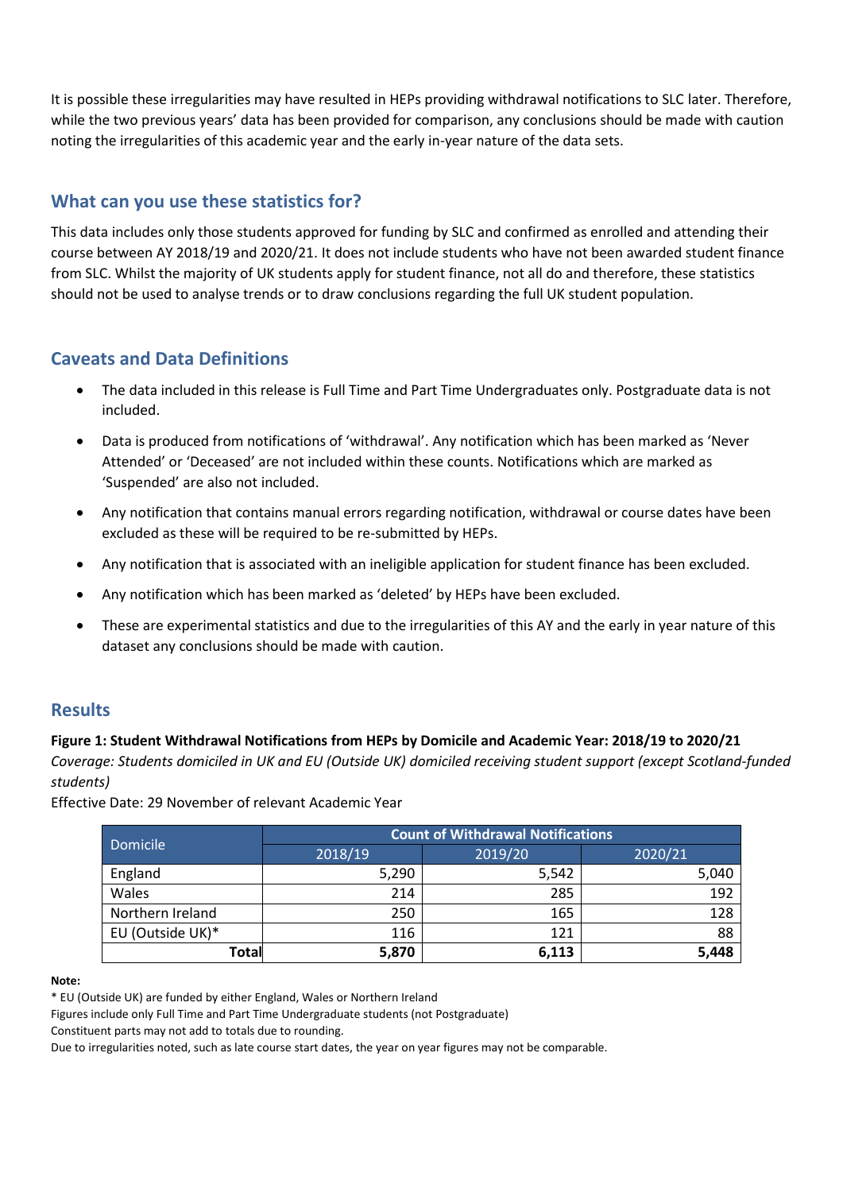It is possible these irregularities may have resulted in HEPs providing withdrawal notifications to SLC later. Therefore, while the two previous years' data has been provided for comparison, any conclusions should be made with caution noting the irregularities of this academic year and the early in-year nature of the data sets.

# **What can you use these statistics for?**

This data includes only those students approved for funding by SLC and confirmed as enrolled and attending their course between AY 2018/19 and 2020/21. It does not include students who have not been awarded student finance from SLC. Whilst the majority of UK students apply for student finance, not all do and therefore, these statistics should not be used to analyse trends or to draw conclusions regarding the full UK student population.

### **Caveats and Data Definitions**

- The data included in this release is Full Time and Part Time Undergraduates only. Postgraduate data is not included.
- Data is produced from notifications of 'withdrawal'. Any notification which has been marked as 'Never Attended' or 'Deceased' are not included within these counts. Notifications which are marked as 'Suspended' are also not included.
- Any notification that contains manual errors regarding notification, withdrawal or course dates have been excluded as these will be required to be re-submitted by HEPs.
- Any notification that is associated with an ineligible application for student finance has been excluded.
- Any notification which has been marked as 'deleted' by HEPs have been excluded.
- These are experimental statistics and due to the irregularities of this AY and the early in year nature of this dataset any conclusions should be made with caution.

### **Results**

### **Figure 1: Student Withdrawal Notifications from HEPs by Domicile and Academic Year: 2018/19 to 2020/21**

*Coverage: Students domiciled in UK and EU (Outside UK) domiciled receiving student support (except Scotland-funded students)*

Effective Date: 29 November of relevant Academic Year

| <b>Domicile</b>  | <b>Count of Withdrawal Notifications</b> |         |         |  |
|------------------|------------------------------------------|---------|---------|--|
|                  | 2018/19                                  | 2019/20 | 2020/21 |  |
| England          | 5,290                                    | 5,542   | 5,040   |  |
| Wales            | 214                                      | 285     | 192     |  |
| Northern Ireland | 250                                      | 165     | 128     |  |
| EU (Outside UK)* | 116                                      | 121     | 88      |  |
| Total            | 5,870                                    | 6,113   | 5,448   |  |

#### **Note:**

\* EU (Outside UK) are funded by either England, Wales or Northern Ireland

Figures include only Full Time and Part Time Undergraduate students (not Postgraduate)

Constituent parts may not add to totals due to rounding.

Due to irregularities noted, such as late course start dates, the year on year figures may not be comparable.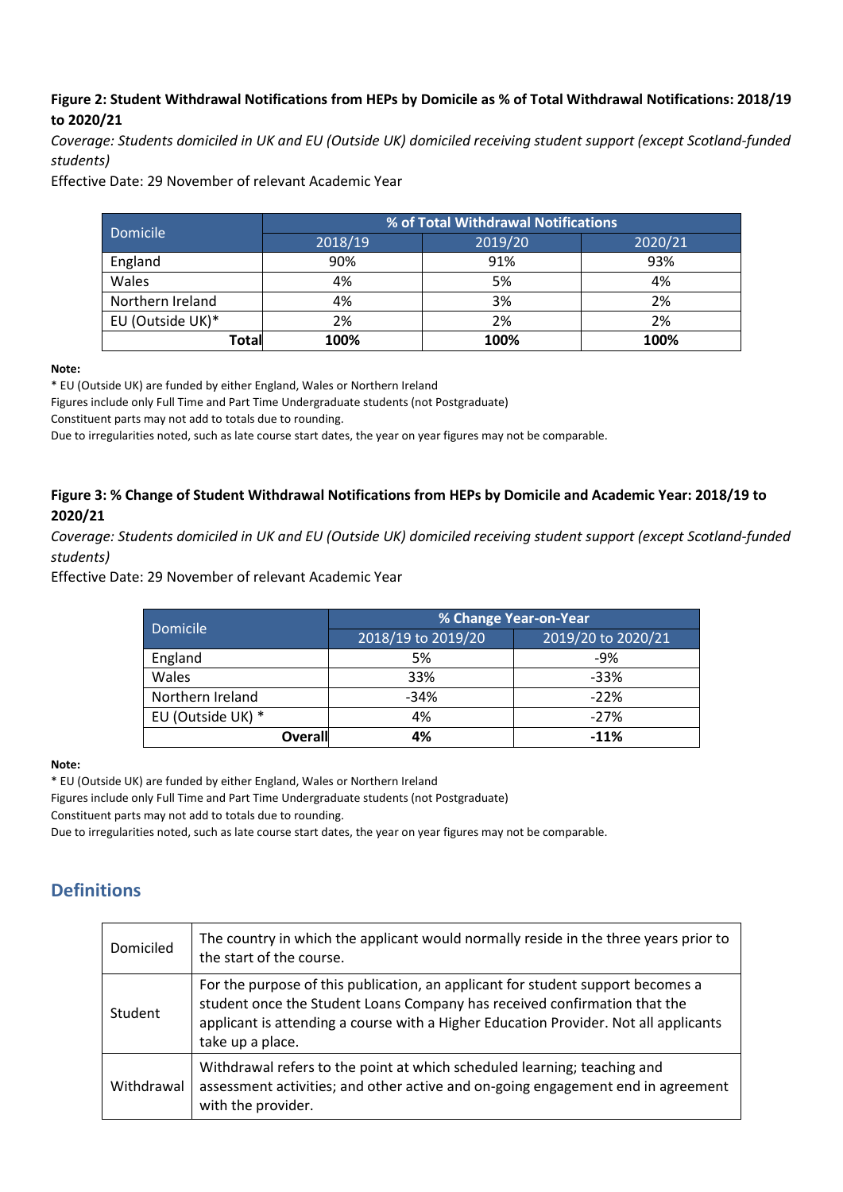### **Figure 2: Student Withdrawal Notifications from HEPs by Domicile as % of Total Withdrawal Notifications: 2018/19 to 2020/21**

*Coverage: Students domiciled in UK and EU (Outside UK) domiciled receiving student support (except Scotland-funded students)*

Effective Date: 29 November of relevant Academic Year

| Domicile         | % of Total Withdrawal Notifications |         |         |  |
|------------------|-------------------------------------|---------|---------|--|
|                  | 2018/19                             | 2019/20 | 2020/21 |  |
| England          | 90%                                 | 91%     | 93%     |  |
| Wales            | 4%                                  | 5%      | 4%      |  |
| Northern Ireland | 4%                                  | 3%      | 2%      |  |
| EU (Outside UK)* | 2%                                  | 2%      | 2%      |  |
| Total            | 100%                                | 100%    | 100%    |  |

**Note:**

\* EU (Outside UK) are funded by either England, Wales or Northern Ireland

Figures include only Full Time and Part Time Undergraduate students (not Postgraduate)

Constituent parts may not add to totals due to rounding.

Due to irregularities noted, such as late course start dates, the year on year figures may not be comparable.

#### **Figure 3: % Change of Student Withdrawal Notifications from HEPs by Domicile and Academic Year: 2018/19 to 2020/21**

*Coverage: Students domiciled in UK and EU (Outside UK) domiciled receiving student support (except Scotland-funded students)*

Effective Date: 29 November of relevant Academic Year

| <b>Domicile</b>   | % Change Year-on-Year |                    |  |
|-------------------|-----------------------|--------------------|--|
|                   | 2018/19 to 2019/20    | 2019/20 to 2020/21 |  |
| England           | 5%                    | $-9%$              |  |
| Wales             | 33%                   | $-33%$             |  |
| Northern Ireland  | $-34%$                | $-22%$             |  |
| EU (Outside UK) * | 4%                    | $-27%$             |  |
| <b>Overall</b>    | 4%                    | $-11%$             |  |

#### **Note:**

\* EU (Outside UK) are funded by either England, Wales or Northern Ireland

Figures include only Full Time and Part Time Undergraduate students (not Postgraduate)

Constituent parts may not add to totals due to rounding.

Due to irregularities noted, such as late course start dates, the year on year figures may not be comparable.

### **Definitions**

| Domiciled      | The country in which the applicant would normally reside in the three years prior to<br>the start of the course.                                                                                                                                                         |
|----------------|--------------------------------------------------------------------------------------------------------------------------------------------------------------------------------------------------------------------------------------------------------------------------|
| <b>Student</b> | For the purpose of this publication, an applicant for student support becomes a<br>student once the Student Loans Company has received confirmation that the<br>applicant is attending a course with a Higher Education Provider. Not all applicants<br>take up a place. |
| Withdrawal     | Withdrawal refers to the point at which scheduled learning; teaching and<br>assessment activities; and other active and on-going engagement end in agreement<br>with the provider.                                                                                       |